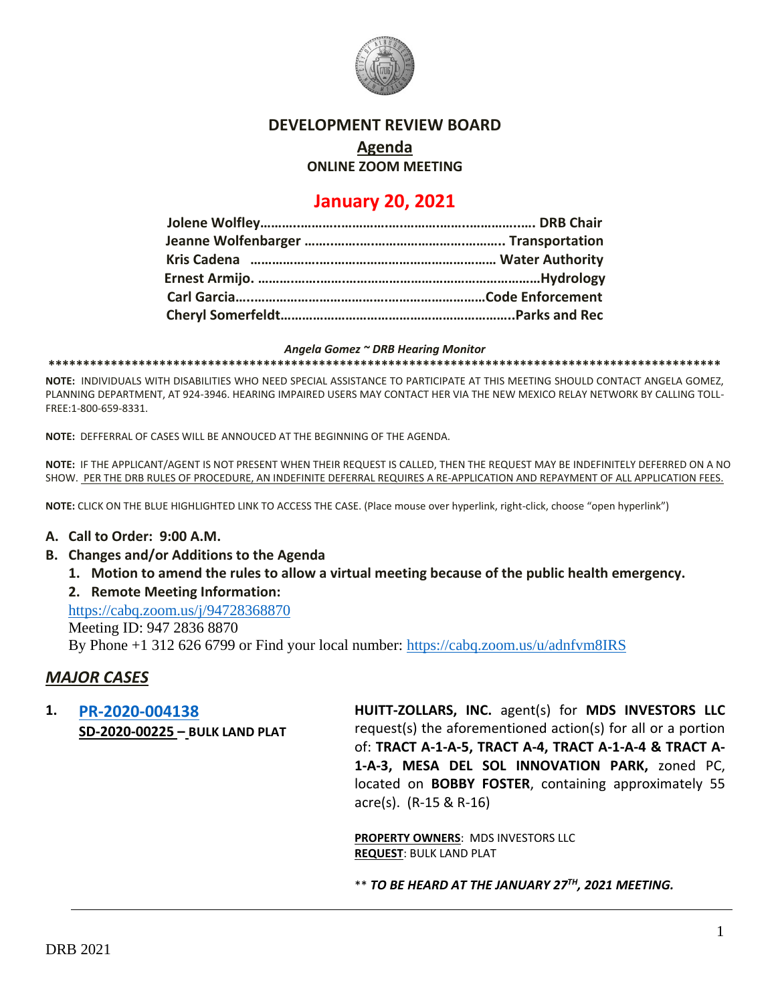

## **DEVELOPMENT REVIEW BOARD**

## **Agenda**

**ONLINE ZOOM MEETING**

# **January 20, 2021**

#### *Angela Gomez ~ DRB Hearing Monitor*

**\*\*\*\*\*\*\*\*\*\*\*\*\*\*\*\*\*\*\*\*\*\*\*\*\*\*\*\*\*\*\*\*\*\*\*\*\*\*\*\*\*\*\*\*\*\*\*\*\*\*\*\*\*\*\*\*\*\*\*\*\*\*\*\*\*\*\*\*\*\*\*\*\*\*\*\*\*\*\*\*\*\*\*\*\*\*\*\*\*\*\*\*\*\*\*\*\***

**NOTE:** INDIVIDUALS WITH DISABILITIES WHO NEED SPECIAL ASSISTANCE TO PARTICIPATE AT THIS MEETING SHOULD CONTACT ANGELA GOMEZ, PLANNING DEPARTMENT, AT 924-3946. HEARING IMPAIRED USERS MAY CONTACT HER VIA THE NEW MEXICO RELAY NETWORK BY CALLING TOLL-FREE:1-800-659-8331.

**NOTE:** DEFFERRAL OF CASES WILL BE ANNOUCED AT THE BEGINNING OF THE AGENDA.

**NOTE:** IF THE APPLICANT/AGENT IS NOT PRESENT WHEN THEIR REQUEST IS CALLED, THEN THE REQUEST MAY BE INDEFINITELY DEFERRED ON A NO SHOW. PER THE DRB RULES OF PROCEDURE, AN INDEFINITE DEFERRAL REQUIRES A RE-APPLICATION AND REPAYMENT OF ALL APPLICATION FEES.

**NOTE:** CLICK ON THE BLUE HIGHLIGHTED LINK TO ACCESS THE CASE. (Place mouse over hyperlink, right-click, choose "open hyperlink")

### **A. Call to Order: 9:00 A.M.**

- **B. Changes and/or Additions to the Agenda**
	- **1. Motion to amend the rules to allow a virtual meeting because of the public health emergency.**
	- **2. Remote Meeting Information:**

<https://cabq.zoom.us/j/94728368870>

Meeting ID: 947 2836 8870

By Phone +1 312 626 6799 or Find your local number:<https://cabq.zoom.us/u/adnfvm8IRS>

## *MAJOR CASES*

**1. [PR-2020-004138](http://data.cabq.gov/government/planning/DRB/PR-2020-004138/DRB%20Submittals/PR-2020-004138_Jan_27_2021/Bulk%20Plat%20Submittal%2030Dec20%20Reduced%20File%20Size.pdf) SD-2020-00225 – BULK LAND PLAT** **HUITT-ZOLLARS, INC.** agent(s) for **MDS INVESTORS LLC** request(s) the aforementioned action(s) for all or a portion of: **TRACT A-1-A-5, TRACT A-4, TRACT A-1-A-4 & TRACT A-1-A-3, MESA DEL SOL INNOVATION PARK,** zoned PC, located on **BOBBY FOSTER**, containing approximately 55 acre(s). (R-15 & R-16)

**PROPERTY OWNERS**: MDS INVESTORS LLC **REQUEST**: BULK LAND PLAT

\*\* *TO BE HEARD AT THE JANUARY 27 TH, 2021 MEETING.*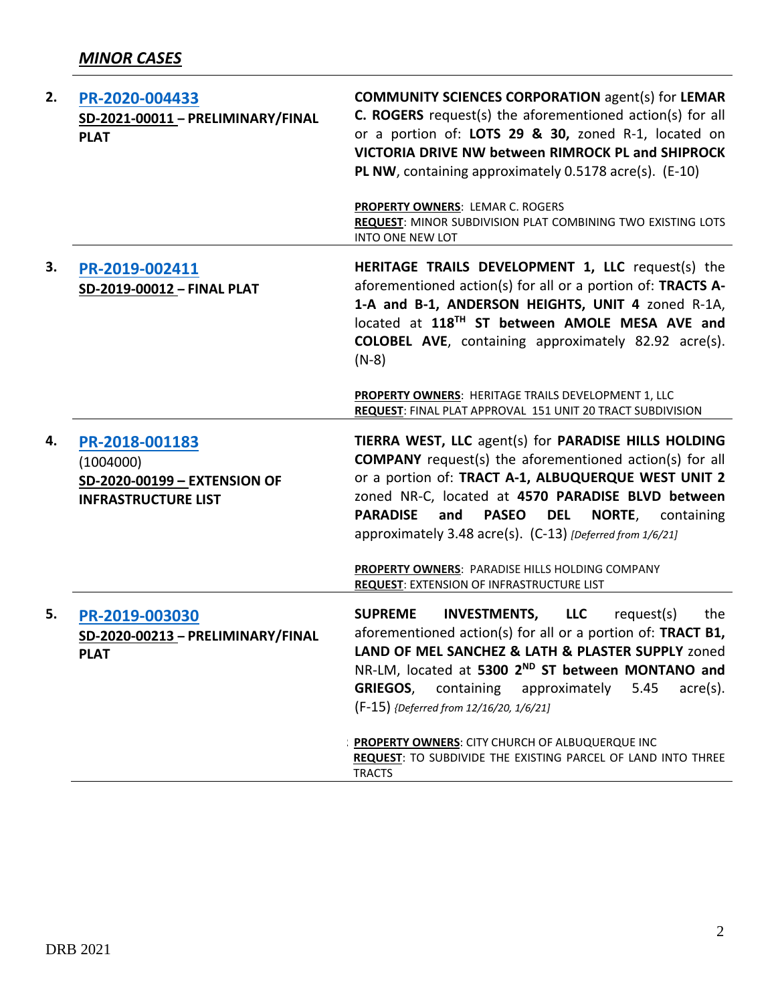| 2. | PR-2020-004433<br>SD-2021-00011 - PRELIMINARY/FINAL<br><b>PLAT</b>                        | <b>COMMUNITY SCIENCES CORPORATION agent(s) for LEMAR</b><br><b>C. ROGERS</b> request(s) the aforementioned action(s) for all<br>or a portion of: LOTS 29 & 30, zoned R-1, located on<br>VICTORIA DRIVE NW between RIMROCK PL and SHIPROCK<br>PL NW, containing approximately 0.5178 acre(s). (E-10)                                                                             |
|----|-------------------------------------------------------------------------------------------|---------------------------------------------------------------------------------------------------------------------------------------------------------------------------------------------------------------------------------------------------------------------------------------------------------------------------------------------------------------------------------|
|    |                                                                                           | <b>PROPERTY OWNERS: LEMAR C. ROGERS</b><br>REQUEST: MINOR SUBDIVISION PLAT COMBINING TWO EXISTING LOTS<br>INTO ONE NEW LOT                                                                                                                                                                                                                                                      |
| 3. | PR-2019-002411<br>SD-2019-00012 - FINAL PLAT                                              | HERITAGE TRAILS DEVELOPMENT 1, LLC request(s) the<br>aforementioned action(s) for all or a portion of: TRACTS A-<br>1-A and B-1, ANDERSON HEIGHTS, UNIT 4 zoned R-1A,<br>located at 118TH ST between AMOLE MESA AVE and<br><b>COLOBEL AVE</b> , containing approximately 82.92 acre(s).<br>$(N-8)$                                                                              |
|    |                                                                                           | PROPERTY OWNERS: HERITAGE TRAILS DEVELOPMENT 1, LLC<br>REQUEST: FINAL PLAT APPROVAL 151 UNIT 20 TRACT SUBDIVISION                                                                                                                                                                                                                                                               |
| 4. | PR-2018-001183<br>(1004000)<br>SD-2020-00199 - EXTENSION OF<br><b>INFRASTRUCTURE LIST</b> | TIERRA WEST, LLC agent(s) for PARADISE HILLS HOLDING<br><b>COMPANY</b> request(s) the aforementioned action(s) for all<br>or a portion of: TRACT A-1, ALBUQUERQUE WEST UNIT 2<br>zoned NR-C, located at 4570 PARADISE BLVD between<br><b>PARADISE</b><br>and<br><b>PASEO</b><br><b>DEL NORTE, containing</b><br>approximately 3.48 acre(s). (C-13) [Deferred from 1/6/21]       |
|    |                                                                                           | PROPERTY OWNERS: PARADISE HILLS HOLDING COMPANY<br><b>REQUEST: EXTENSION OF INFRASTRUCTURE LIST</b>                                                                                                                                                                                                                                                                             |
| 5. | PR-2019-003030<br>SD-2020-00213 - PRELIMINARY/FINAL<br><b>PLAT</b>                        | <b>SUPREME</b><br><b>INVESTMENTS,</b><br><b>LLC</b><br>request(s)<br>the<br>aforementioned action(s) for all or a portion of: TRACT B1,<br>LAND OF MEL SANCHEZ & LATH & PLASTER SUPPLY zoned<br>NR-LM, located at 5300 2 <sup>ND</sup> ST between MONTANO and<br><b>GRIEGOS,</b><br>containing approximately<br>5.45<br>$\arce(s)$ .<br>(F-15) {Deferred from 12/16/20, 1/6/21] |
|    |                                                                                           | PROPERTY OWNERS: CITY CHURCH OF ALBUQUERQUE INC<br>REQUEST: TO SUBDIVIDE THE EXISTING PARCEL OF LAND INTO THREE<br><b>TRACTS</b>                                                                                                                                                                                                                                                |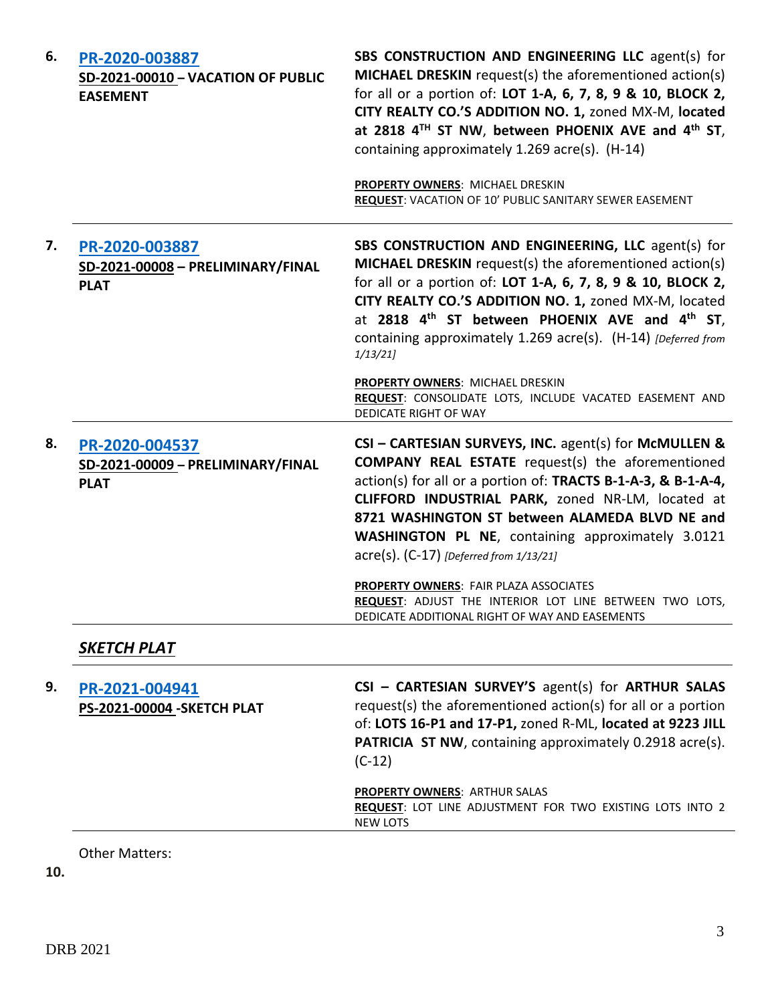| 6. | PR-2020-003887<br>SD-2021-00010 - VACATION OF PUBLIC<br><b>EASEMENT</b> | SBS CONSTRUCTION AND ENGINEERING LLC agent(s) for<br>MICHAEL DRESKIN request(s) the aforementioned action(s)<br>for all or a portion of: LOT 1-A, 6, 7, 8, 9 & 10, BLOCK 2,<br>CITY REALTY CO.'S ADDITION NO. 1, zoned MX-M, located<br>at 2818 4 <sup>TH</sup> ST NW, between PHOENIX AVE and 4 <sup>th</sup> ST,<br>containing approximately 1.269 acre(s). (H-14)<br><b>PROPERTY OWNERS: MICHAEL DRESKIN</b> |
|----|-------------------------------------------------------------------------|-----------------------------------------------------------------------------------------------------------------------------------------------------------------------------------------------------------------------------------------------------------------------------------------------------------------------------------------------------------------------------------------------------------------|
|    |                                                                         | REQUEST: VACATION OF 10' PUBLIC SANITARY SEWER EASEMENT                                                                                                                                                                                                                                                                                                                                                         |
| 7. | PR-2020-003887<br>SD-2021-00008 - PRELIMINARY/FINAL<br><b>PLAT</b>      | SBS CONSTRUCTION AND ENGINEERING, LLC agent(s) for<br>MICHAEL DRESKIN request(s) the aforementioned action(s)<br>for all or a portion of: LOT 1-A, 6, 7, 8, 9 & 10, BLOCK 2,<br>CITY REALTY CO.'S ADDITION NO. 1, zoned MX-M, located<br>at 2818 4 <sup>th</sup> ST between PHOENIX AVE and 4 <sup>th</sup> ST,<br>containing approximately 1.269 acre(s). (H-14) [Deferred from<br>1/13/21                     |
|    |                                                                         | PROPERTY OWNERS: MICHAEL DRESKIN<br>REQUEST: CONSOLIDATE LOTS, INCLUDE VACATED EASEMENT AND<br>DEDICATE RIGHT OF WAY                                                                                                                                                                                                                                                                                            |
| 8. | PR-2020-004537<br>SD-2021-00009 - PRELIMINARY/FINAL<br><b>PLAT</b>      | CSI - CARTESIAN SURVEYS, INC. agent(s) for McMULLEN &<br><b>COMPANY REAL ESTATE</b> request(s) the aforementioned<br>action(s) for all or a portion of: TRACTS B-1-A-3, & B-1-A-4,<br>CLIFFORD INDUSTRIAL PARK, zoned NR-LM, located at<br>8721 WASHINGTON ST between ALAMEDA BLVD NE and<br>WASHINGTON PL NE, containing approximately 3.0121<br>$\text{acre}(s)$ . (C-17) [Deferred from 1/13/21]             |
|    |                                                                         | PROPERTY OWNERS: FAIR PLAZA ASSOCIATES<br>REQUEST: ADJUST THE INTERIOR LOT LINE BETWEEN TWO LOTS,<br>DEDICATE ADDITIONAL RIGHT OF WAY AND EASEMENTS                                                                                                                                                                                                                                                             |
|    | SKETCH PLAT                                                             |                                                                                                                                                                                                                                                                                                                                                                                                                 |
| 9. | PR-2021-004941<br><b>PS-2021-00004 - SKETCH PLAT</b>                    | CSI - CARTESIAN SURVEY'S agent(s) for ARTHUR SALAS<br>request(s) the aforementioned action(s) for all or a portion<br>of: LOTS 16-P1 and 17-P1, zoned R-ML, located at 9223 JILL<br>PATRICIA ST NW, containing approximately 0.2918 acre(s).<br>$(C-12)$                                                                                                                                                        |
|    |                                                                         | <b>PROPERTY OWNERS: ARTHUR SALAS</b><br>REQUEST: LOT LINE ADJUSTMENT FOR TWO EXISTING LOTS INTO 2<br><b>NEW LOTS</b>                                                                                                                                                                                                                                                                                            |

Other Matters:

**10.**